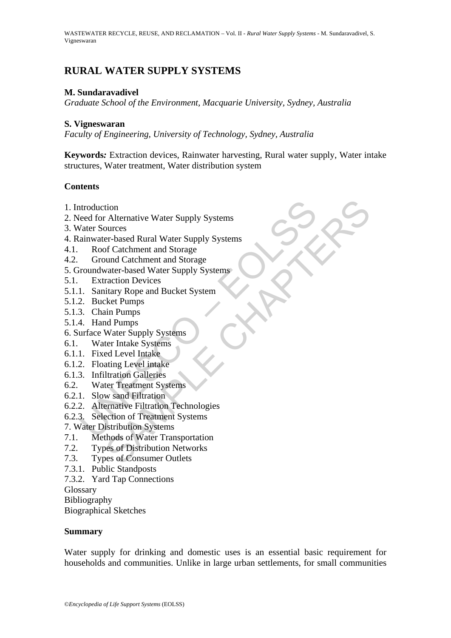# **RURAL WATER SUPPLY SYSTEMS**

#### **M. Sundaravadivel**

*Graduate School of the Environment, Macquarie University, Sydney, Australia* 

#### **S. Vigneswaran**

*Faculty of Engineering, University of Technology, Sydney, Australia* 

**Keywords***:* Extraction devices, Rainwater harvesting, Rural water supply, Water intake structures, Water treatment, Water distribution system

### **Contents**

- 1. Introduction
- 2. Need for Alternative Water Supply Systems
- 3. Water Sources
- ntroduction<br>
eed for Alternative Water Supply Systems<br>
Vater Sources<br>
ainwater-based Rural Water Supply Systems<br>
Roof Catchment and Storage<br>
Ground Catchment and Storage<br>
roundwater-based Water Supply Systems<br>
Extraction D tion<br>
columes<br>
columes<br>
ourder Sharel Water Supply Systems<br>
or Catchment and Storage<br>
and Catchment and Storage<br>
wand Catchment and Storage<br>
wanter-based Water Supply Systems<br>
are a charge with the Systems<br>
and Pumps<br>
on P 4. Rainwater-based Rural Water Supply Systems
- 4.1. Roof Catchment and Storage
- 4.2. Ground Catchment and Storage
- 5. Groundwater-based Water Supply Systems
- 5.1. Extraction Devices
- 5.1.1. Sanitary Rope and Bucket System
- 5.1.2. Bucket Pumps
- 5.1.3. Chain Pumps
- 5.1.4. Hand Pumps
- 6. Surface Water Supply Systems
- 6.1. Water Intake Systems
- 6.1.1. Fixed Level Intake
- 6.1.2. Floating Level intake
- 6.1.3. Infiltration Galleries
- 6.2. Water Treatment Systems
- 6.2.1. Slow sand Filtration
- 6.2.2. Alternative Filtration Technologies
- 6.2.3. Selection of Treatment Systems
- 7. Water Distribution Systems
- 7.1. Methods of Water Transportation
- 7.2. Types of Distribution Networks
- 7.3. Types of Consumer Outlets
- 7.3.1. Public Standposts
- 7.3.2. Yard Tap Connections
- **Glossary**

Bibliography

Biographical Sketches

#### **Summary**

Water supply for drinking and domestic uses is an essential basic requirement for households and communities. Unlike in large urban settlements, for small communities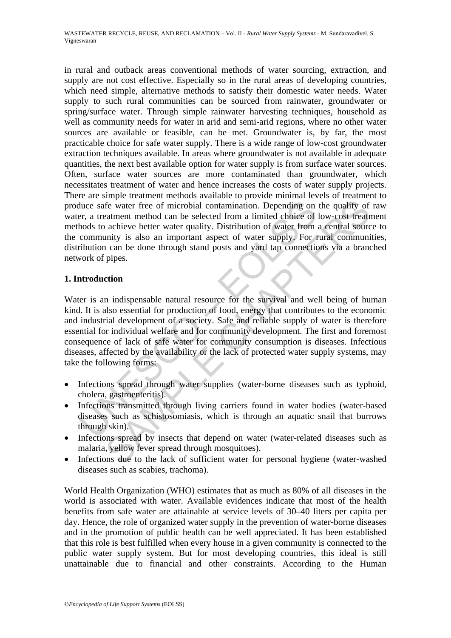in rural and outback areas conventional methods of water sourcing, extraction, and supply are not cost effective. Especially so in the rural areas of developing countries, which need simple, alternative methods to satisfy their domestic water needs. Water supply to such rural communities can be sourced from rainwater, groundwater or spring/surface water. Through simple rainwater harvesting techniques, household as well as community needs for water in arid and semi-arid regions, where no other water sources are available or feasible, can be met. Groundwater is, by far, the most practicable choice for safe water supply. There is a wide range of low-cost groundwater extraction techniques available. In areas where groundwater is not available in adequate quantities, the next best available option for water supply is from surface water sources. Often, surface water sources are more contaminated than groundwater, which necessitates treatment of water and hence increases the costs of water supply projects. There are simple treatment methods available to provide minimal levels of treatment to produce safe water free of microbial contamination. Depending on the quality of raw water, a treatment method can be selected from a limited choice of low-cost treatment methods to achieve better water quality. Distribution of water from a central source to the community is also an important aspect of water supply. For rural communities, distribution can be done through stand posts and yard tap connections via a branched network of pipes.

### **1. Introduction**

through the same interest of microbial contamination. Depending on<br>er, a treatment method can be selected from a limited choice of<br>hods to achieve better water quality. Distribution of water from<br>community is also an impor The water free of microbial contamination. Depending on the quality of<br>the water free of microbial contamination. Depending on the quality of<br>actment method can be selected from a limited choice of low-cost treat<br>achieve b Water is an indispensable natural resource for the survival and well being of human kind. It is also essential for production of food, energy that contributes to the economic and industrial development of a society. Safe and reliable supply of water is therefore essential for individual welfare and for community development. The first and foremost consequence of lack of safe water for community consumption is diseases. Infectious diseases, affected by the availability or the lack of protected water supply systems, may take the following forms:

- Infections spread through water supplies (water-borne diseases such as typhoid, cholera, gastroenteritis).
- Infections transmitted through living carriers found in water bodies (water-based diseases such as schistosomiasis, which is through an aquatic snail that burrows through skin).
- Infections spread by insects that depend on water (water-related diseases such as malaria, yellow fever spread through mosquitoes).
- Infections due to the lack of sufficient water for personal hygiene (water-washed diseases such as scabies, trachoma).

World Health Organization (WHO) estimates that as much as 80% of all diseases in the world is associated with water. Available evidences indicate that most of the health benefits from safe water are attainable at service levels of 30–40 liters per capita per day. Hence, the role of organized water supply in the prevention of water-borne diseases and in the promotion of public health can be well appreciated. It has been established that this role is best fulfilled when every house in a given community is connected to the public water supply system. But for most developing countries, this ideal is still unattainable due to financial and other constraints. According to the Human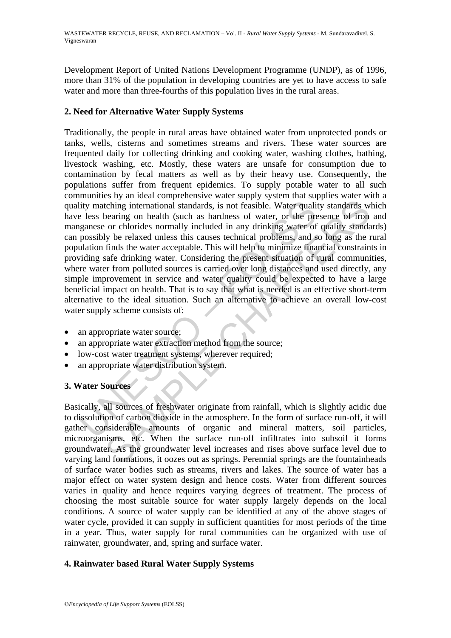Development Report of United Nations Development Programme (UNDP), as of 1996, more than 31% of the population in developing countries are yet to have access to safe water and more than three-fourths of this population lives in the rural areas.

## **2. Need for Alternative Water Supply Systems**

lity matching international standards, is not feasible. Water quali-<br>
lity matching international standards, is not feasible. Water quali-<br>
less bearing on health (such as hardness of water, or the preganese or chlorides n comparison and standards, is not feasible. Water quality standards whearing international standards, is not feasible. Water quality standards whearing on health (such as hardness of water, or the presence of iron or chlori Traditionally, the people in rural areas have obtained water from unprotected ponds or tanks, wells, cisterns and sometimes streams and rivers. These water sources are frequented daily for collecting drinking and cooking water, washing clothes, bathing, livestock washing, etc. Mostly, these waters are unsafe for consumption due to contamination by fecal matters as well as by their heavy use. Consequently, the populations suffer from frequent epidemics. To supply potable water to all such communities by an ideal comprehensive water supply system that supplies water with a quality matching international standards, is not feasible. Water quality standards which have less bearing on health (such as hardness of water, or the presence of iron and manganese or chlorides normally included in any drinking water of quality standards) can possibly be relaxed unless this causes technical problems, and so long as the rural population finds the water acceptable. This will help to minimize financial constraints in providing safe drinking water. Considering the present situation of rural communities, where water from polluted sources is carried over long distances and used directly, any simple improvement in service and water quality could be expected to have a large beneficial impact on health. That is to say that what is needed is an effective short-term alternative to the ideal situation. Such an alternative to achieve an overall low-cost water supply scheme consists of:

- an appropriate water source;
- an appropriate water extraction method from the source;
- low-cost water treatment systems, wherever required:
- an appropriate water distribution system.

# **3. Water Sources**

Basically, all sources of freshwater originate from rainfall, which is slightly acidic due to dissolution of carbon dioxide in the atmosphere. In the form of surface run-off, it will gather considerable amounts of organic and mineral matters, soil particles, microorganisms, etc. When the surface run-off infiltrates into subsoil it forms groundwater. As the groundwater level increases and rises above surface level due to varying land formations, it oozes out as springs. Perennial springs are the fountainheads of surface water bodies such as streams, rivers and lakes. The source of water has a major effect on water system design and hence costs. Water from different sources varies in quality and hence requires varying degrees of treatment. The process of choosing the most suitable source for water supply largely depends on the local conditions. A source of water supply can be identified at any of the above stages of water cycle, provided it can supply in sufficient quantities for most periods of the time in a year. Thus, water supply for rural communities can be organized with use of rainwater, groundwater, and, spring and surface water.

### **4. Rainwater based Rural Water Supply Systems**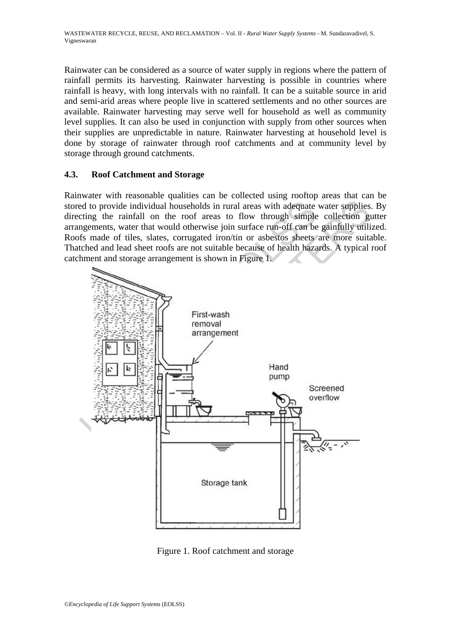Rainwater can be considered as a source of water supply in regions where the pattern of rainfall permits its harvesting. Rainwater harvesting is possible in countries where rainfall is heavy, with long intervals with no rainfall. It can be a suitable source in arid and semi-arid areas where people live in scattered settlements and no other sources are available. Rainwater harvesting may serve well for household as well as community level supplies. It can also be used in conjunction with supply from other sources when their supplies are unpredictable in nature. Rainwater harvesting at household level is done by storage of rainwater through roof catchments and at community level by storage through ground catchments.

### **4.3. Roof Catchment and Storage**

Rainwater with reasonable qualities can be collected using rooftop areas that can be stored to provide individual households in rural areas with adequate water supplies. By directing the rainfall on the roof areas to flow through simple collection gutter arrangements, water that would otherwise join surface run-off can be gainfully utilized. Roofs made of tiles, slates, corrugated iron/tin or asbestos sheets are more suitable. Thatched and lead sheet roofs are not suitable because of health hazards. A typical roof catchment and storage arrangement is shown in Figure 1.



Figure 1. Roof catchment and storage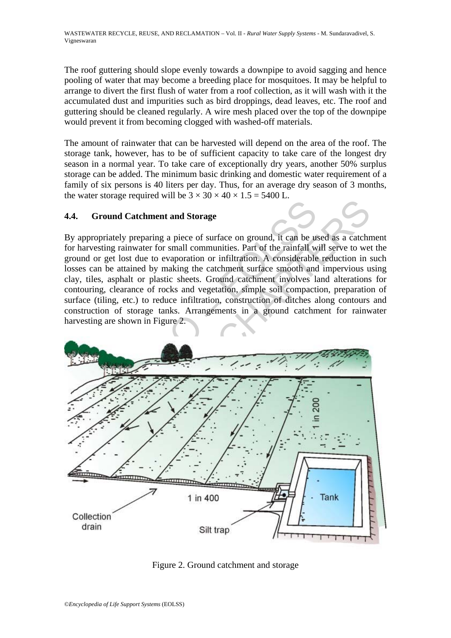The roof guttering should slope evenly towards a downpipe to avoid sagging and hence pooling of water that may become a breeding place for mosquitoes. It may be helpful to arrange to divert the first flush of water from a roof collection, as it will wash with it the accumulated dust and impurities such as bird droppings, dead leaves, etc. The roof and guttering should be cleaned regularly. A wire mesh placed over the top of the downpipe would prevent it from becoming clogged with washed-off materials.

The amount of rainwater that can be harvested will depend on the area of the roof. The storage tank, however, has to be of sufficient capacity to take care of the longest dry season in a normal year. To take care of exceptionally dry years, another 50% surplus storage can be added. The minimum basic drinking and domestic water requirement of a family of six persons is 40 liters per day. Thus, for an average dry season of 3 months, the water storage required will be  $3 \times 30 \times 40 \times 1.5 = 5400$  L.

### **4.4. Ground Catchment and Storage**

By appropriately preparing a piece of surface on ground, it can be used as a catchment for harvesting rainwater for small communities. Part of the rainfall will serve to wet the ground or get lost due to evaporation or infiltration. A considerable reduction in such losses can be attained by making the catchment surface smooth and impervious using clay, tiles, asphalt or plastic sheets. Ground catchment involves land alterations for contouring, clearance of rocks and vegetation, simple soil compaction, preparation of surface (tiling, etc.) to reduce infiltration, construction of ditches along contours and construction of storage tanks. Arrangements in a ground catchment for rainwater harvesting are shown in Figure 2.



Figure 2. Ground catchment and storage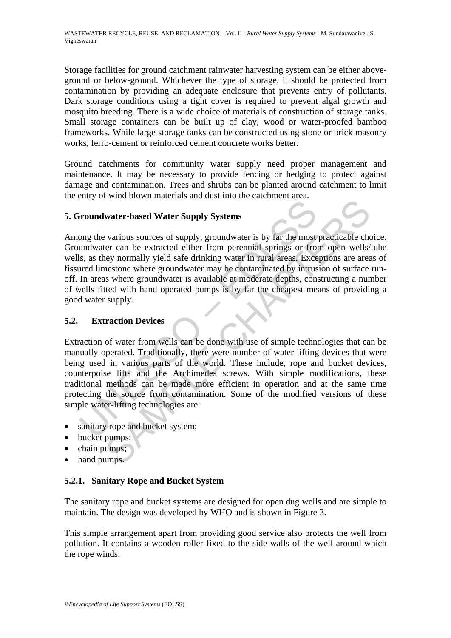Storage facilities for ground catchment rainwater harvesting system can be either aboveground or below-ground. Whichever the type of storage, it should be protected from contamination by providing an adequate enclosure that prevents entry of pollutants. Dark storage conditions using a tight cover is required to prevent algal growth and mosquito breeding. There is a wide choice of materials of construction of storage tanks. Small storage containers can be built up of clay, wood or water-proofed bamboo frameworks. While large storage tanks can be constructed using stone or brick masonry works, ferro-cement or reinforced cement concrete works better.

Ground catchments for community water supply need proper management and maintenance. It may be necessary to provide fencing or hedging to protect against damage and contamination. Trees and shrubs can be planted around catchment to limit the entry of wind blown materials and dust into the catchment area.

### **5. Groundwater-based Water Supply Systems**

Among the various sources of supply, groundwater is by far the most practicable choice. Groundwater can be extracted either from perennial springs or from open wells/tube wells, as they normally yield safe drinking water in rural areas. Exceptions are areas of fissured limestone where groundwater may be contaminated by intrusion of surface runoff. In areas where groundwater is available at moderate depths, constructing a number of wells fitted with hand operated pumps is by far the cheapest means of providing a good water supply.

### **5.2. Extraction Devices**

**COMBUT EXECT STEAD SET SET SET SET SET SET SET SET SERVID BET SERVID BY STEAD SET SERVIDE SOME THE WINDOW SET CONDUCT AN ABOVE THE SERVIDE DREAM SERVIDE DREAM SERVIDE DREAM SERVIDE DREAM STEAD (THE areas where groundwater Example 12**<br> **EXERCT WATER CONTROVER SETTLE SETTLE SETTLE SETTLE SETTLE SPACE STATE SPACE STATE SPACE STATE SPACE STATE SPACE STATE SPACE STATE SPACE SETTLE SUPPOSE SETTLE SUPPOSE SETTLE SUPPOSE SUPPOSE SUPPOSE SUPPOSE SU** Extraction of water from wells can be done with use of simple technologies that can be manually operated. Traditionally, there were number of water lifting devices that were being used in various parts of the world. These include, rope and bucket devices, counterpoise lifts and the Archimedes screws. With simple modifications, these traditional methods can be made more efficient in operation and at the same time protecting the source from contamination. Some of the modified versions of these simple water-lifting technologies are:

- sanitary rope and bucket system;
- bucket pumps;
- chain pumps;
- hand pumps.

### **5.2.1. Sanitary Rope and Bucket System**

The sanitary rope and bucket systems are designed for open dug wells and are simple to maintain. The design was developed by WHO and is shown in Figure 3.

This simple arrangement apart from providing good service also protects the well from pollution. It contains a wooden roller fixed to the side walls of the well around which the rope winds.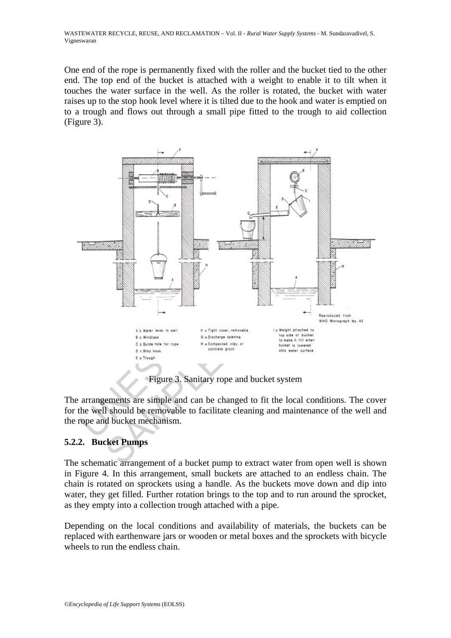WASTEWATER RECYCLE, REUSE, AND RECLAMATION – Vol. II - *Rural Water Supply Systems* - M. Sundaravadivel, S. Vigneswaran

One end of the rope is permanently fixed with the roller and the bucket tied to the other end. The top end of the bucket is attached with a weight to enable it to tilt when it touches the water surface in the well. As the roller is rotated, the bucket with water raises up to the stop hook level where it is tilted due to the hook and water is emptied on to a trough and flows out through a small pipe fitted to the trough to aid collection (Figure 3).



The arrangements are simple and can be changed to fit the local conditions. The cover for the well should be removable to facilitate cleaning and maintenance of the well and the rope and bucket mechanism.

### **5.2.2. Bucket Pumps**

The schematic arrangement of a bucket pump to extract water from open well is shown in Figure 4. In this arrangement, small buckets are attached to an endless chain. The chain is rotated on sprockets using a handle. As the buckets move down and dip into water, they get filled. Further rotation brings to the top and to run around the sprocket, as they empty into a collection trough attached with a pipe.

Depending on the local conditions and availability of materials, the buckets can be replaced with earthenware jars or wooden or metal boxes and the sprockets with bicycle wheels to run the endless chain.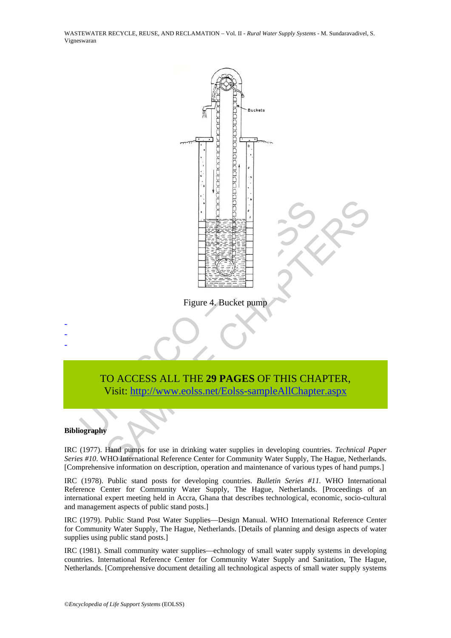WASTEWATER RECYCLE, REUSE, AND RECLAMATION – Vol. II - *Rural Water Supply Systems* - M. Sundaravadivel, S. Vigneswaran



#### **Bibliography**

- - -

IRC (1977). Hand pumps for use in drinking water supplies in developing countries. *Technical Paper Series #10*. WHO International Reference Center for Community Water Supply, The Hague, Netherlands. [Comprehensive information on description, operation and maintenance of various types of hand pumps.]

IRC (1978). Public stand posts for developing countries. *Bulletin Series #11.* WHO International Reference Center for Community Water Supply, The Hague, Netherlands. [Proceedings of an international expert meeting held in Accra, Ghana that describes technological, economic, socio-cultural and management aspects of public stand posts.]

IRC (1979). Public Stand Post Water Supplies—Design Manual. WHO International Reference Center for Community Water Supply, The Hague, Netherlands. [Details of planning and design aspects of water supplies using public stand posts.]

IRC (1981). Small community water supplies—echnology of small water supply systems in developing countries. International Reference Center for Community Water Supply and Sanitation, The Hague, Netherlands. [Comprehensive document detailing all technological aspects of small water supply systems